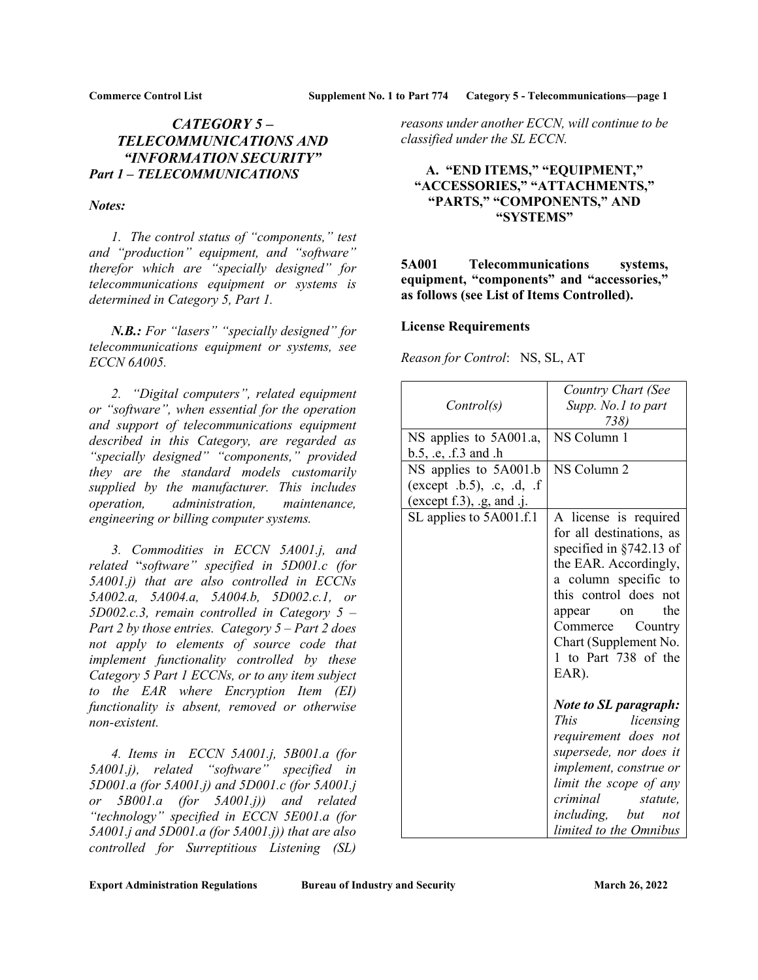# CATEGORY 5 – TELECOMMUNICATIONS AND "INFORMATION SECURITY" Part 1 – TELECOMMUNICATIONS

### Notes:

 1. The control status of "components," test and "production" equipment, and "software" therefor which are "specially designed" for telecommunications equipment or systems is determined in Category 5, Part 1.

N.B.: For "lasers" "specially designed" for telecommunications equipment or systems, see ECCN 6A005.

 2. "Digital computers", related equipment or "software", when essential for the operation and support of telecommunications equipment described in this Category, are regarded as "specially designed" "components," provided they are the standard models customarily supplied by the manufacturer. This includes operation, administration, maintenance, engineering or billing computer systems.

 3. Commodities in ECCN 5A001.j, and related "software" specified in 5D001.c (for 5A001.j) that are also controlled in ECCNs 5A002.a, 5A004.a, 5A004.b, 5D002.c.1, or  $5D002.c.3$ , remain controlled in Category  $5 -$ Part 2 by those entries. Category  $5 - Part$  2 does not apply to elements of source code that implement functionality controlled by these Category 5 Part 1 ECCNs, or to any item subject to the EAR where Encryption Item (EI) functionality is absent, removed or otherwise non-existent.

 4. Items in ECCN 5A001.j, 5B001.a (for 5A001.j), related "software" specified in 5D001.a (for 5A001.j) and 5D001.c (for 5A001.j or 5B001.a (for 5A001.j)) and related "technology" specified in ECCN 5E001.a (for  $5A001$ .j and  $5D001$ .a (for  $5A001$ .j)) that are also controlled for Surreptitious Listening (SL)

reasons under another ECCN, will continue to be classified under the SL ECCN.

## A. "END ITEMS," "EQUIPMENT," "ACCESSORIES," "ATTACHMENTS," "PARTS," "COMPONENTS," AND "SYSTEMS"

## 5A001 Telecommunications systems, equipment, "components" and "accessories," as follows (see List of Items Controlled).

## License Requirements

Reason for Control: NS, SL, AT

| Control(s)                                                                                   | Country Chart (See<br>Supp. No.1 to part<br>738)                                                                                                                                                                                                                                                                                                        |
|----------------------------------------------------------------------------------------------|---------------------------------------------------------------------------------------------------------------------------------------------------------------------------------------------------------------------------------------------------------------------------------------------------------------------------------------------------------|
| NS applies to 5A001.a,<br>b.5, .e, .f.3 and .h                                               | NS Column 1                                                                                                                                                                                                                                                                                                                                             |
| NS applies to 5A001.b<br>(except $.b.5$ ), $.c.$ $.d.$ $.f.$<br>(except $f.3$ ), .g, and .j. | NS Column 2                                                                                                                                                                                                                                                                                                                                             |
| SL applies to 5A001.f.1                                                                      | A license is required<br>for all destinations, as<br>specified in $§742.13$ of<br>the EAR. Accordingly,<br>a column specific to<br>this control does<br>not<br>the<br>appear<br>on<br>Commerce<br>Country<br>Chart (Supplement No.<br>1 to Part 738 of the<br>EAR).<br><b>Note to SL paragraph:</b><br><i>This</i><br>licensing<br>requirement does not |
|                                                                                              | supersede, nor does it<br>implement, construe or<br>limit the scope of any<br>criminal<br>statute,<br>including, but<br>not<br>limited to the Omnibus                                                                                                                                                                                                   |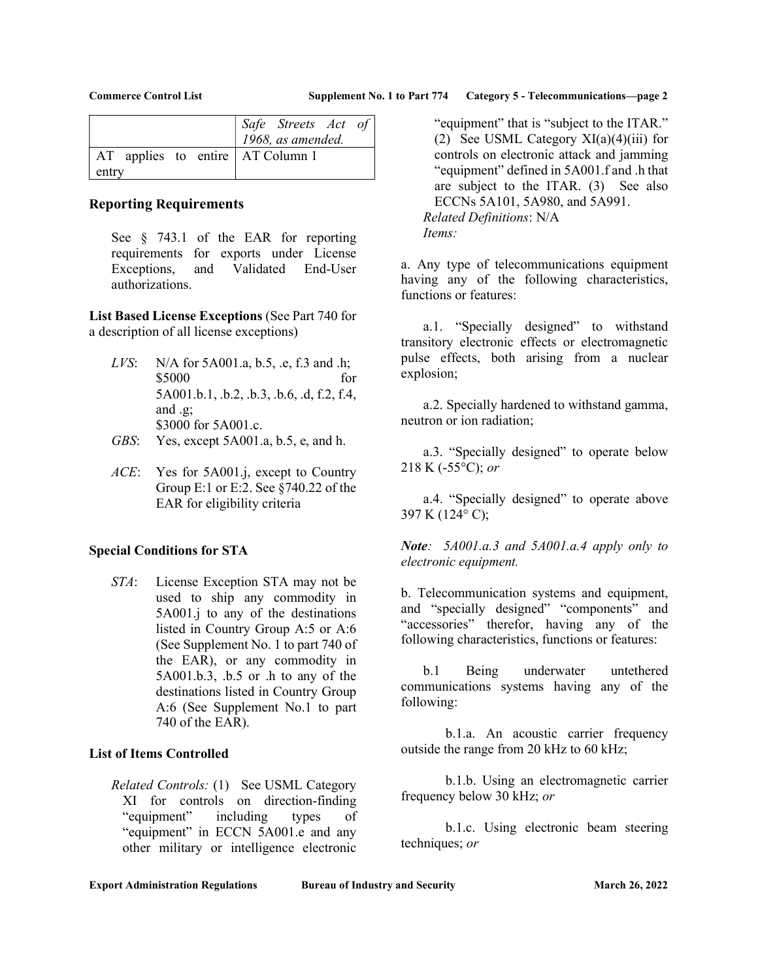|                                    | Safe Streets Act of |
|------------------------------------|---------------------|
|                                    | 1968, as amended.   |
| AT applies to entire   AT Column 1 |                     |
| entry                              |                     |

## Reporting Requirements

See § 743.1 of the EAR for reporting requirements for exports under License Exceptions, and Validated End-User authorizations.

List Based License Exceptions (See Part 740 for a description of all license exceptions)

- *LVS*: N/A for 5A001.a, b.5, .e, f.3 and .h; \$5000 for 5A001.b.1, .b.2, .b.3, .b.6, .d, f.2, f.4, and .g; \$3000 for 5A001.c.
- GBS: Yes, except 5A001.a, b.5, e, and h.
- ACE: Yes for 5A001.j, except to Country Group E:1 or E:2. See §740.22 of the EAR for eligibility criteria

### Special Conditions for STA

STA: License Exception STA may not be used to ship any commodity in 5A001.j to any of the destinations listed in Country Group A:5 or A:6 (See Supplement No. 1 to part 740 of the EAR), or any commodity in 5A001.b.3, .b.5 or .h to any of the destinations listed in Country Group A:6 (See Supplement No.1 to part 740 of the EAR).

### List of Items Controlled

Related Controls: (1) See USML Category XI for controls on direction-finding "equipment" including types of "equipment" in ECCN 5A001.e and any other military or intelligence electronic

"equipment" that is "subject to the ITAR." (2) See USML Category  $XI(a)(4)(iii)$  for controls on electronic attack and jamming "equipment" defined in 5A001.f and .h that are subject to the ITAR. (3) See also ECCNs 5A101, 5A980, and 5A991. Related Definitions: N/A Items:

a. Any type of telecommunications equipment having any of the following characteristics, functions or features:

 a.1. "Specially designed" to withstand transitory electronic effects or electromagnetic pulse effects, both arising from a nuclear explosion;

 a.2. Specially hardened to withstand gamma, neutron or ion radiation;

 a.3. "Specially designed" to operate below 218 K (-55 $^{\circ}$ C); or

a.4. "Specially designed" to operate above 397 K (124° C);

Note: 5A001.a.3 and 5A001.a.4 apply only to electronic equipment.

b. Telecommunication systems and equipment, and "specially designed" "components" and "accessories" therefor, having any of the following characteristics, functions or features:

 b.1 Being underwater untethered communications systems having any of the following:

 b.1.a. An acoustic carrier frequency outside the range from 20 kHz to 60 kHz;

 b.1.b. Using an electromagnetic carrier frequency below 30 kHz; or

 b.1.c. Using electronic beam steering techniques; or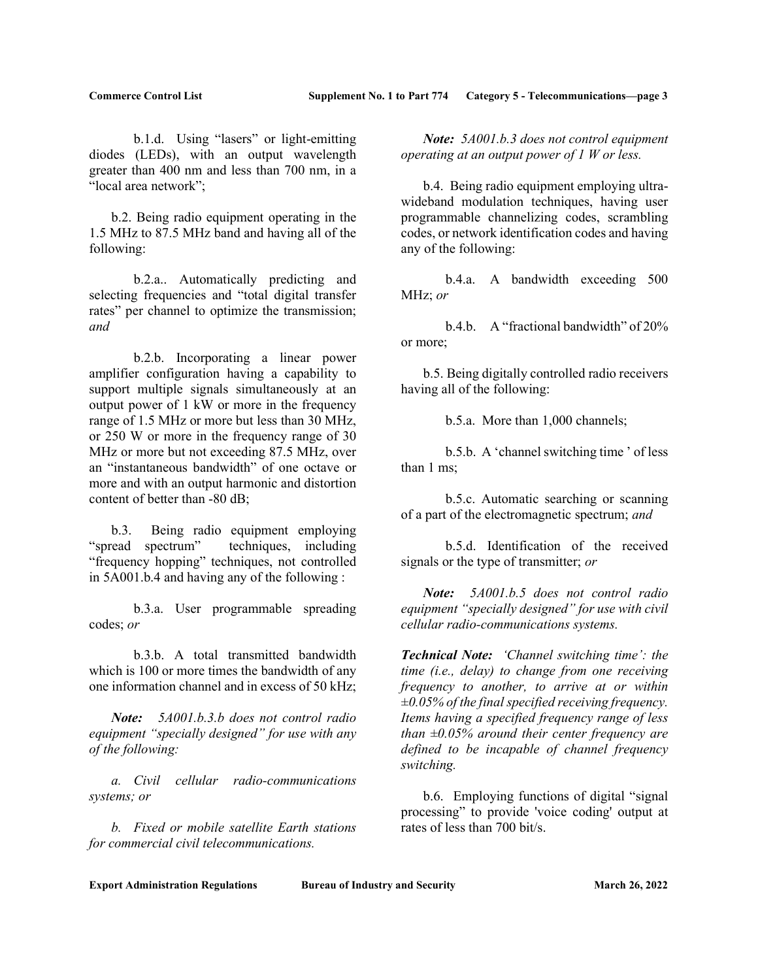b.1.d. Using "lasers" or light-emitting diodes (LEDs), with an output wavelength greater than 400 nm and less than 700 nm, in a "local area network";

 b.2. Being radio equipment operating in the 1.5 MHz to 87.5 MHz band and having all of the following:

 b.2.a.. Automatically predicting and selecting frequencies and "total digital transfer rates" per channel to optimize the transmission; and

 b.2.b. Incorporating a linear power amplifier configuration having a capability to support multiple signals simultaneously at an output power of 1 kW or more in the frequency range of 1.5 MHz or more but less than 30 MHz, or 250 W or more in the frequency range of 30 MHz or more but not exceeding 87.5 MHz, over an "instantaneous bandwidth" of one octave or more and with an output harmonic and distortion content of better than -80 dB;

b.3. Being radio equipment employing<br>"spread spectrum" techniques, including techniques, including "frequency hopping" techniques, not controlled in 5A001.b.4 and having any of the following :

 b.3.a. User programmable spreading codes; or

 b.3.b. A total transmitted bandwidth which is 100 or more times the bandwidth of any one information channel and in excess of 50 kHz;

Note: 5A001.b.3.b does not control radio equipment "specially designed" for use with any of the following:

 a. Civil cellular radio-communications systems; or

 b. Fixed or mobile satellite Earth stations for commercial civil telecommunications.

Note: 5A001.b.3 does not control equipment operating at an output power of 1 W or less.

 b.4. Being radio equipment employing ultrawideband modulation techniques, having user programmable channelizing codes, scrambling codes, or network identification codes and having any of the following:

 b.4.a. A bandwidth exceeding 500 MHz; or

 b.4.b. A "fractional bandwidth" of 20% or more;

 b.5. Being digitally controlled radio receivers having all of the following:

b.5.a. More than 1,000 channels;

 b.5.b. A 'channel switching time ' of less than 1 ms;

 b.5.c. Automatic searching or scanning of a part of the electromagnetic spectrum; and

 b.5.d. Identification of the received signals or the type of transmitter; or

Note: 5A001.b.5 does not control radio equipment "specially designed" for use with civil cellular radio-communications systems.

Technical Note: 'Channel switching time': the time (i.e., delay) to change from one receiving frequency to another, to arrive at or within  $\pm 0.05\%$  of the final specified receiving frequency. Items having a specified frequency range of less than  $\pm 0.05\%$  around their center frequency are defined to be incapable of channel frequency switching.

 b.6. Employing functions of digital "signal processing" to provide 'voice coding' output at rates of less than 700 bit/s.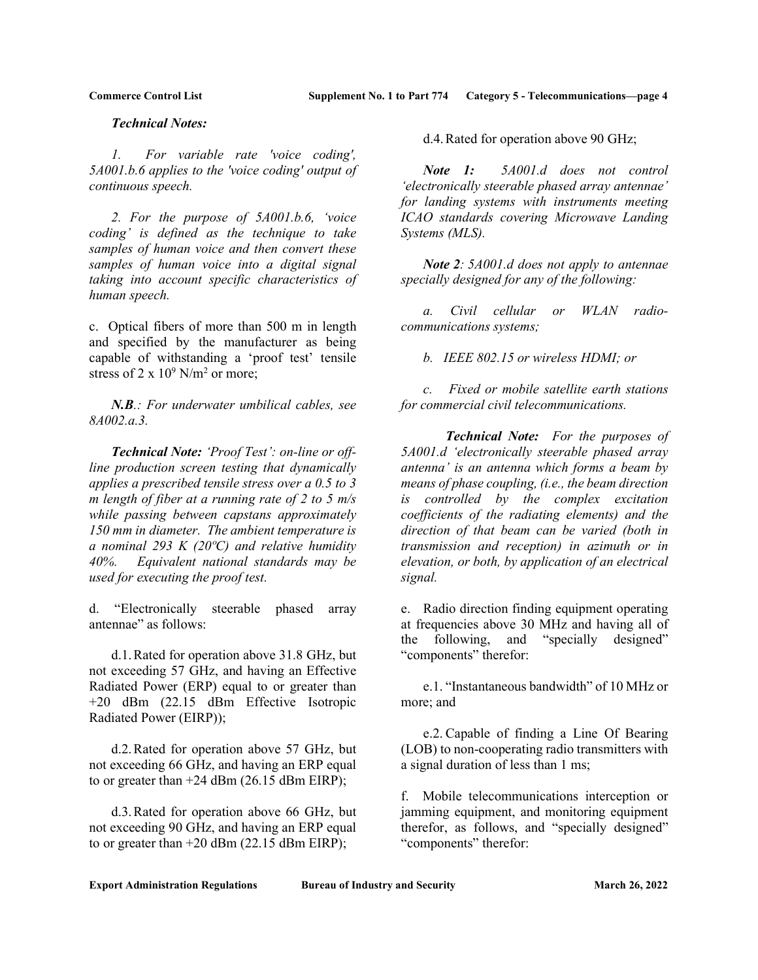### Technical Notes:

 1. For variable rate 'voice coding', 5A001.b.6 applies to the 'voice coding' output of continuous speech.

 2. For the purpose of 5A001.b.6, 'voice coding' is defined as the technique to take samples of human voice and then convert these samples of human voice into a digital signal taking into account specific characteristics of human speech.

c. Optical fibers of more than 500 m in length and specified by the manufacturer as being capable of withstanding a 'proof test' tensile stress of 2 x  $10^9$  N/m<sup>2</sup> or more;

 $N.B.:$  For underwater umbilical cables, see 8A002.a.3.

Technical Note: 'Proof Test': on-line or offline production screen testing that dynamically applies a prescribed tensile stress over a 0.5 to 3 m length of fiber at a running rate of 2 to 5  $m/s$ while passing between capstans approximately 150 mm in diameter. The ambient temperature is a nominal 293 K (20 $\degree$ C) and relative humidity 40%. Equivalent national standards may be used for executing the proof test.

d. "Electronically steerable phased array antennae" as follows:

 d.1. Rated for operation above 31.8 GHz, but not exceeding 57 GHz, and having an Effective Radiated Power (ERP) equal to or greater than +20 dBm (22.15 dBm Effective Isotropic Radiated Power (EIRP));

 d.2. Rated for operation above 57 GHz, but not exceeding 66 GHz, and having an ERP equal to or greater than  $+24$  dBm (26.15 dBm EIRP);

 d.3. Rated for operation above 66 GHz, but not exceeding 90 GHz, and having an ERP equal to or greater than +20 dBm (22.15 dBm EIRP);

d.4. Rated for operation above 90 GHz;

Note 1: 5A001.d does not control 'electronically steerable phased array antennae' for landing systems with instruments meeting ICAO standards covering Microwave Landing Systems (MLS).

Note 2: 5A001.d does not apply to antennae specially designed for any of the following:

a. Civil cellular or WLAN radiocommunications systems;

b. IEEE 802.15 or wireless HDMI; or

 c. Fixed or mobile satellite earth stations for commercial civil telecommunications.

 Technical Note: For the purposes of 5A001.d 'electronically steerable phased array antenna' is an antenna which forms a beam by means of phase coupling, (i.e., the beam direction is controlled by the complex excitation coefficients of the radiating elements) and the direction of that beam can be varied (both in transmission and reception) in azimuth or in elevation, or both, by application of an electrical signal.

e. Radio direction finding equipment operating at frequencies above 30 MHz and having all of the following, and "specially designed" "components" therefor:

 e.1. "Instantaneous bandwidth" of 10 MHz or more; and

 e.2. Capable of finding a Line Of Bearing (LOB) to non-cooperating radio transmitters with a signal duration of less than 1 ms;

f. Mobile telecommunications interception or jamming equipment, and monitoring equipment therefor, as follows, and "specially designed" "components" therefor: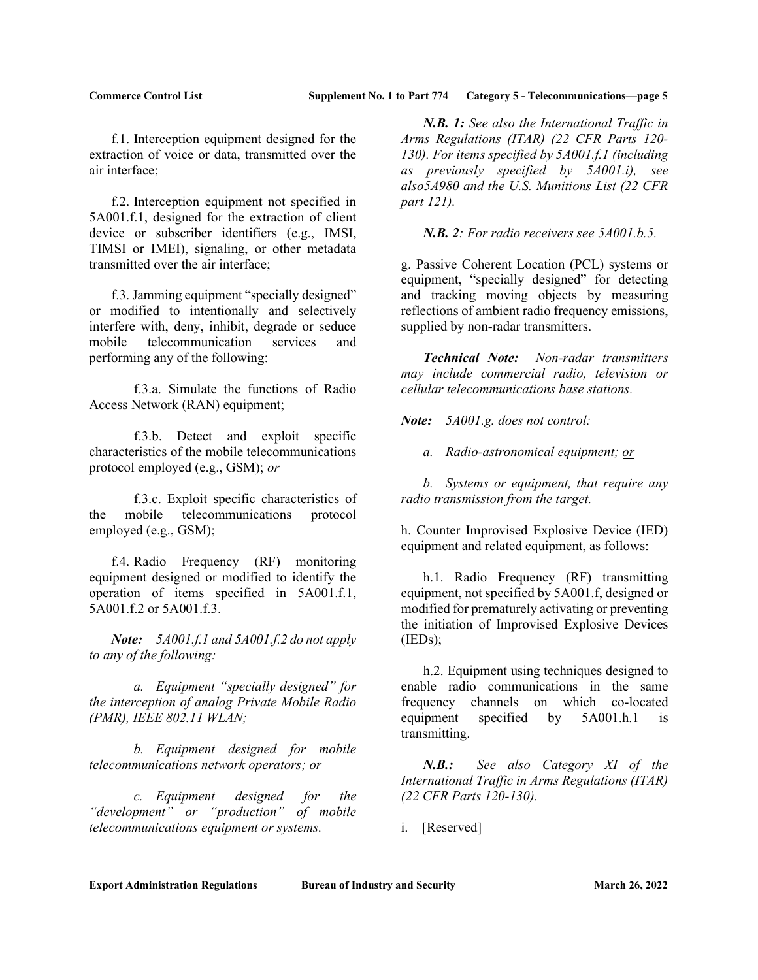f.1. Interception equipment designed for the extraction of voice or data, transmitted over the air interface;

 f.2. Interception equipment not specified in 5A001.f.1, designed for the extraction of client device or subscriber identifiers (e.g., IMSI, TIMSI or IMEI), signaling, or other metadata transmitted over the air interface;

 f.3. Jamming equipment "specially designed" or modified to intentionally and selectively interfere with, deny, inhibit, degrade or seduce mobile telecommunication services and performing any of the following:

 f.3.a. Simulate the functions of Radio Access Network (RAN) equipment;

 f.3.b. Detect and exploit specific characteristics of the mobile telecommunications protocol employed (e.g., GSM); or

 f.3.c. Exploit specific characteristics of the mobile telecommunications protocol employed (e.g., GSM);

 f.4. Radio Frequency (RF) monitoring equipment designed or modified to identify the operation of items specified in 5A001.f.1, 5A001.f.2 or 5A001.f.3.

Note: 5A001.f.1 and 5A001.f.2 do not apply to any of the following:

 a. Equipment "specially designed" for the interception of analog Private Mobile Radio (PMR), IEEE 802.11 WLAN;

 b. Equipment designed for mobile telecommunications network operators; or

 c. Equipment designed for the "development" or "production" of mobile telecommunications equipment or systems.

N.B. 1: See also the International Traffic in Arms Regulations (ITAR) (22 CFR Parts 120- 130). For items specified by 5A001.f.1 (including as previously specified by 5A001.i), see also5A980 and the U.S. Munitions List (22 CFR part 121).

N.B. 2: For radio receivers see 5A001.b.5.

g. Passive Coherent Location (PCL) systems or equipment, "specially designed" for detecting and tracking moving objects by measuring reflections of ambient radio frequency emissions, supplied by non-radar transmitters.

Technical Note: Non-radar transmitters may include commercial radio, television or cellular telecommunications base stations.

Note: 5A001.g. does not control:

a. Radio-astronomical equipment; or

 b. Systems or equipment, that require any radio transmission from the target.

h. Counter Improvised Explosive Device (IED) equipment and related equipment, as follows:

 h.1. Radio Frequency (RF) transmitting equipment, not specified by 5A001.f, designed or modified for prematurely activating or preventing the initiation of Improvised Explosive Devices (IEDs);

 h.2. Equipment using techniques designed to enable radio communications in the same frequency channels on which co-located equipment specified by 5A001.h.1 is transmitting.

 N.B.: See also Category XI of the International Traffic in Arms Regulations (ITAR) (22 CFR Parts 120-130).

i. [Reserved]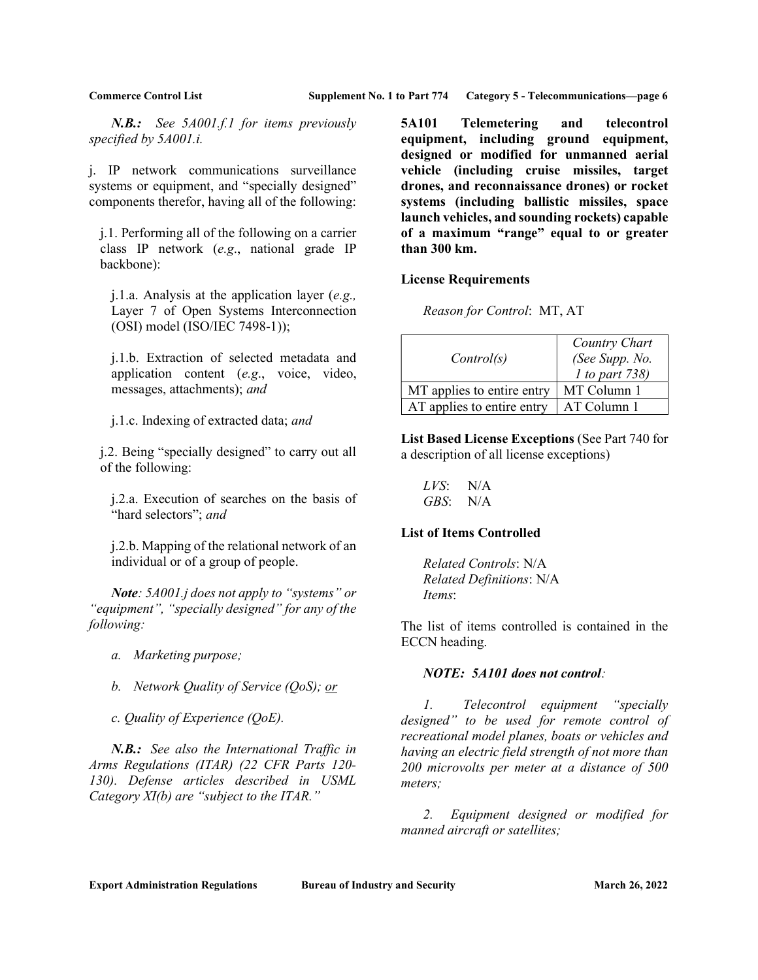N.B.: See 5A001.f.1 for items previously specified by 5A001.i.

j. IP network communications surveillance systems or equipment, and "specially designed" components therefor, having all of the following:

j.1. Performing all of the following on a carrier class IP network (e.g., national grade IP backbone):

j.1.a. Analysis at the application layer (e.g., Layer 7 of Open Systems Interconnection (OSI) model (ISO/IEC 7498-1));

j.1.b. Extraction of selected metadata and application content (e.g., voice, video, messages, attachments); and

j.1.c. Indexing of extracted data; and

j.2. Being "specially designed" to carry out all of the following:

j.2.a. Execution of searches on the basis of "hard selectors"; and

j.2.b. Mapping of the relational network of an individual or of a group of people.

Note: 5A001.j does not apply to "systems" or "equipment", "specially designed" for any of the following:

- a. Marketing purpose;
- b. Network Quality of Service (QoS); or

c. Quality of Experience (QoE).

N.B.: See also the International Traffic in Arms Regulations (ITAR) (22 CFR Parts 120- 130). Defense articles described in USML Category  $XI(b)$  are "subject to the ITAR."

5A101 Telemetering and telecontrol equipment, including ground equipment, designed or modified for unmanned aerial vehicle (including cruise missiles, target drones, and reconnaissance drones) or rocket systems (including ballistic missiles, space launch vehicles, and sounding rockets) capable of a maximum "range" equal to or greater than 300 km.

### License Requirements

Reason for Control: MT, AT

| Control(s)                 | Country Chart<br>(See Supp. No. |
|----------------------------|---------------------------------|
|                            | $1$ to part 738)                |
| MT applies to entire entry | MT Column 1                     |
| AT applies to entire entry | AT Column 1                     |

List Based License Exceptions (See Part 740 for a description of all license exceptions)

 $LVS:$  N/A GBS: N/A

#### List of Items Controlled

 Related Controls: N/A Related Definitions: N/A Items:

The list of items controlled is contained in the ECCN heading.

#### NOTE: 5A101 does not control:

 1. Telecontrol equipment "specially designed" to be used for remote control of recreational model planes, boats or vehicles and having an electric field strength of not more than 200 microvolts per meter at a distance of 500 meters;

 2. Equipment designed or modified for manned aircraft or satellites;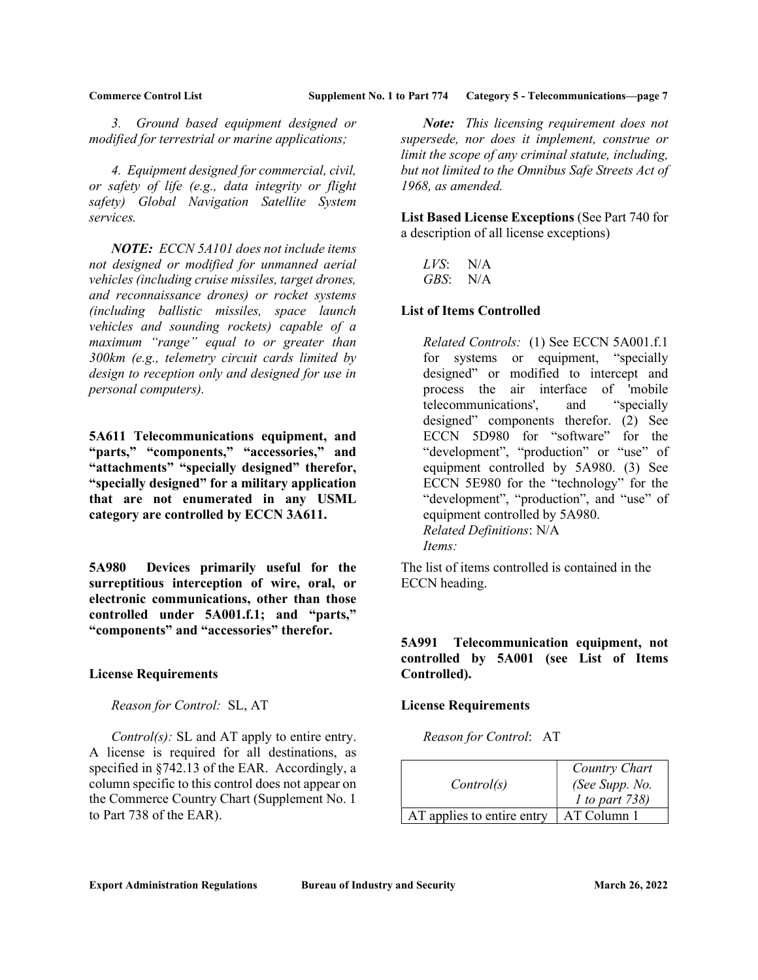3. Ground based equipment designed or modified for terrestrial or marine applications;

 4. Equipment designed for commercial, civil, or safety of life (e.g., data integrity or flight safety) Global Navigation Satellite System services.

NOTE: ECCN 5A101 does not include items not designed or modified for unmanned aerial vehicles (including cruise missiles, target drones, and reconnaissance drones) or rocket systems (including ballistic missiles, space launch vehicles and sounding rockets) capable of a maximum "range" equal to or greater than 300km (e.g., telemetry circuit cards limited by design to reception only and designed for use in personal computers).

5A611 Telecommunications equipment, and "parts," "components," "accessories," and "attachments" "specially designed" therefor, "specially designed" for a military application that are not enumerated in any USML category are controlled by ECCN 3A611.

5A980 Devices primarily useful for the surreptitious interception of wire, oral, or electronic communications, other than those controlled under 5A001.f.1; and "parts," "components" and "accessories" therefor.

### License Requirements

Reason for Control: SL, AT

*Control(s)*: SL and AT apply to entire entry. A license is required for all destinations, as specified in §742.13 of the EAR. Accordingly, a column specific to this control does not appear on the Commerce Country Chart (Supplement No. 1 to Part 738 of the EAR).

Note: This licensing requirement does not supersede, nor does it implement, construe or limit the scope of any criminal statute, including, but not limited to the Omnibus Safe Streets Act of 1968, as amended.

List Based License Exceptions (See Part 740 for a description of all license exceptions)

| LVS: | N/A |
|------|-----|
| GBS: | N/A |

### List of Items Controlled

Related Controls: (1) See ECCN 5A001.f.1 for systems or equipment, "specially designed" or modified to intercept and process the air interface of 'mobile telecommunications', and "specially designed" components therefor. (2) See ECCN 5D980 for "software" for the "development", "production" or "use" of equipment controlled by 5A980. (3) See ECCN 5E980 for the "technology" for the "development", "production", and "use" of equipment controlled by 5A980. Related Definitions: N/A Items:

The list of items controlled is contained in the ECCN heading.

5A991 Telecommunication equipment, not controlled by 5A001 (see List of Items Controlled).

### License Requirements

Reason for Control: AT

| Control(s)                 | Country Chart<br>(See Supp. No.<br><i>l</i> to part 738) |
|----------------------------|----------------------------------------------------------|
| AT applies to entire entry | AT Column 1                                              |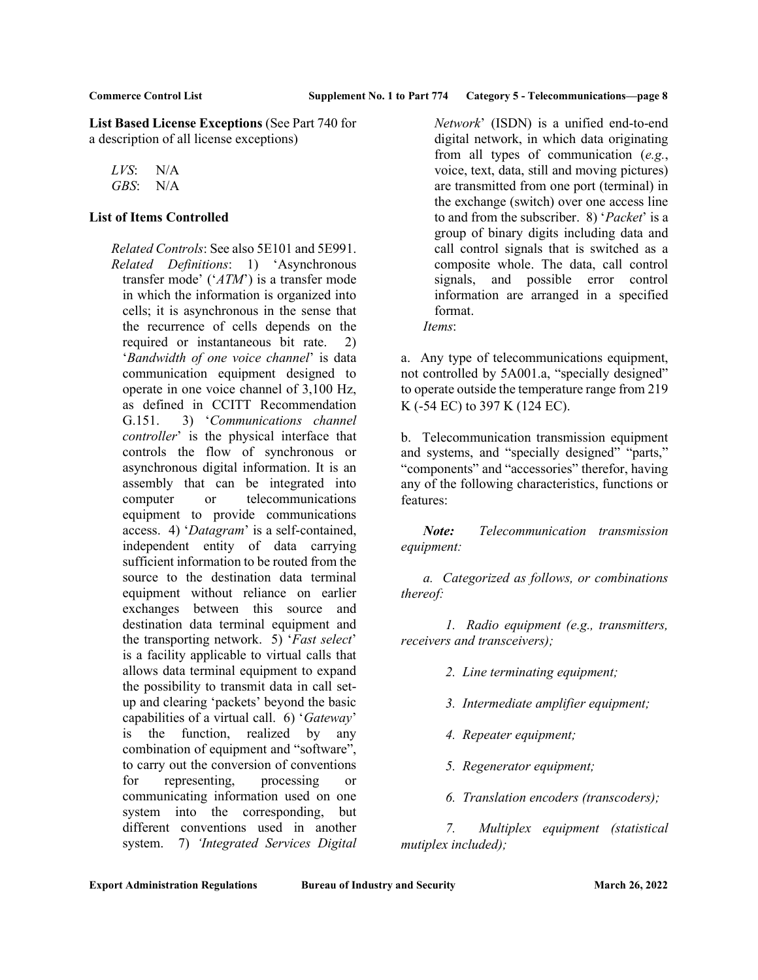List Based License Exceptions (See Part 740 for a description of all license exceptions)

LVS: N/A GBS: N/A

### List of Items Controlled

Related Controls: See also 5E101 and 5E991. Related Definitions: 1) 'Asynchronous transfer mode' ('ATM') is a transfer mode in which the information is organized into cells; it is asynchronous in the sense that the recurrence of cells depends on the required or instantaneous bit rate. 2) 'Bandwidth of one voice channel' is data communication equipment designed to operate in one voice channel of 3,100 Hz, as defined in CCITT Recommendation G.151. 3) 'Communications channel controller' is the physical interface that controls the flow of synchronous or asynchronous digital information. It is an assembly that can be integrated into computer or telecommunications equipment to provide communications access. 4) 'Datagram' is a self-contained, independent entity of data carrying sufficient information to be routed from the source to the destination data terminal equipment without reliance on earlier exchanges between this source and destination data terminal equipment and the transporting network. 5) 'Fast select' is a facility applicable to virtual calls that allows data terminal equipment to expand the possibility to transmit data in call setup and clearing 'packets' beyond the basic capabilities of a virtual call. 6) 'Gateway' is the function, realized by any combination of equipment and "software", to carry out the conversion of conventions for representing, processing or communicating information used on one system into the corresponding, but different conventions used in another system. 7) 'Integrated Services Digital

Network' (ISDN) is a unified end-to-end digital network, in which data originating from all types of communication (e.g., voice, text, data, still and moving pictures) are transmitted from one port (terminal) in the exchange (switch) over one access line to and from the subscriber. 8) 'Packet' is a group of binary digits including data and call control signals that is switched as a composite whole. The data, call control signals, and possible error control information are arranged in a specified format. Items:

a. Any type of telecommunications equipment, not controlled by 5A001.a, "specially designed" to operate outside the temperature range from 219 K (-54 EC) to 397 K (124 EC).

b. Telecommunication transmission equipment and systems, and "specially designed" "parts," "components" and "accessories" therefor, having any of the following characteristics, functions or features:

Note: Telecommunication transmission equipment:

 a. Categorized as follows, or combinations thereof:

 1. Radio equipment (e.g., transmitters, receivers and transceivers);

- 2. Line terminating equipment;
- 3. Intermediate amplifier equipment;
- 4. Repeater equipment;
- 5. Regenerator equipment;
- 6. Translation encoders (transcoders);

 7. Multiplex equipment (statistical mutiplex included);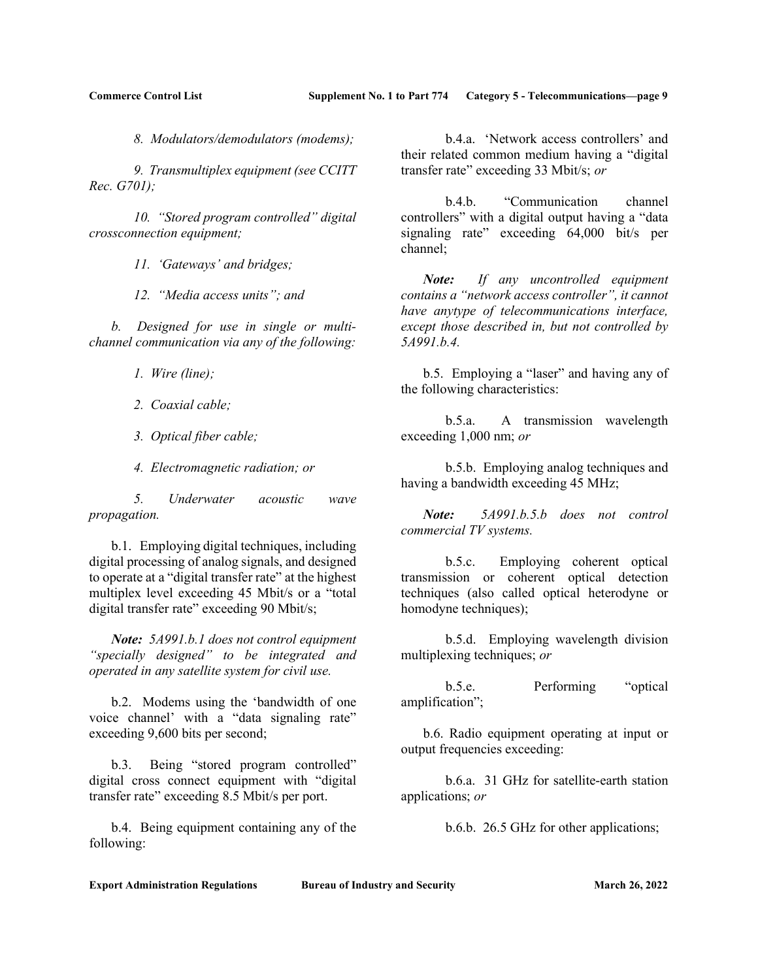8. Modulators/demodulators (modems);

 9. Transmultiplex equipment (see CCITT Rec. G701);

 10. "Stored program controlled" digital crossconnection equipment;

11. 'Gateways' and bridges;

12. "Media access units"; and

 b. Designed for use in single or multichannel communication via any of the following:

1. Wire (line);

2. Coaxial cable;

- 3. Optical fiber cable;
- 4. Electromagnetic radiation; or

 5. Underwater acoustic wave propagation.

 b.1. Employing digital techniques, including digital processing of analog signals, and designed to operate at a "digital transfer rate" at the highest multiplex level exceeding 45 Mbit/s or a "total digital transfer rate" exceeding 90 Mbit/s;

Note: 5A991.b.1 does not control equipment "specially designed" to be integrated and operated in any satellite system for civil use.

 b.2. Modems using the 'bandwidth of one voice channel' with a "data signaling rate" exceeding 9,600 bits per second;

 b.3. Being "stored program controlled" digital cross connect equipment with "digital transfer rate" exceeding 8.5 Mbit/s per port.

 b.4. Being equipment containing any of the following:

 b.4.a. 'Network access controllers' and their related common medium having a "digital transfer rate" exceeding 33 Mbit/s; or

 b.4.b. "Communication channel controllers" with a digital output having a "data signaling rate" exceeding 64,000 bit/s per channel;

Note: If any uncontrolled equipment contains a "network access controller", it cannot have anytype of telecommunications interface, except those described in, but not controlled by 5A991.b.4.

 b.5. Employing a "laser" and having any of the following characteristics:

 b.5.a. A transmission wavelength exceeding 1,000 nm; or

 b.5.b. Employing analog techniques and having a bandwidth exceeding 45 MHz;

Note: 5A991.b.5.b does not control commercial TV systems.

 b.5.c. Employing coherent optical transmission or coherent optical detection techniques (also called optical heterodyne or homodyne techniques);

 b.5.d. Employing wavelength division multiplexing techniques; or

 b.5.e. Performing "optical amplification";

 b.6. Radio equipment operating at input or output frequencies exceeding:

 b.6.a. 31 GHz for satellite-earth station applications; or

b.6.b. 26.5 GHz for other applications;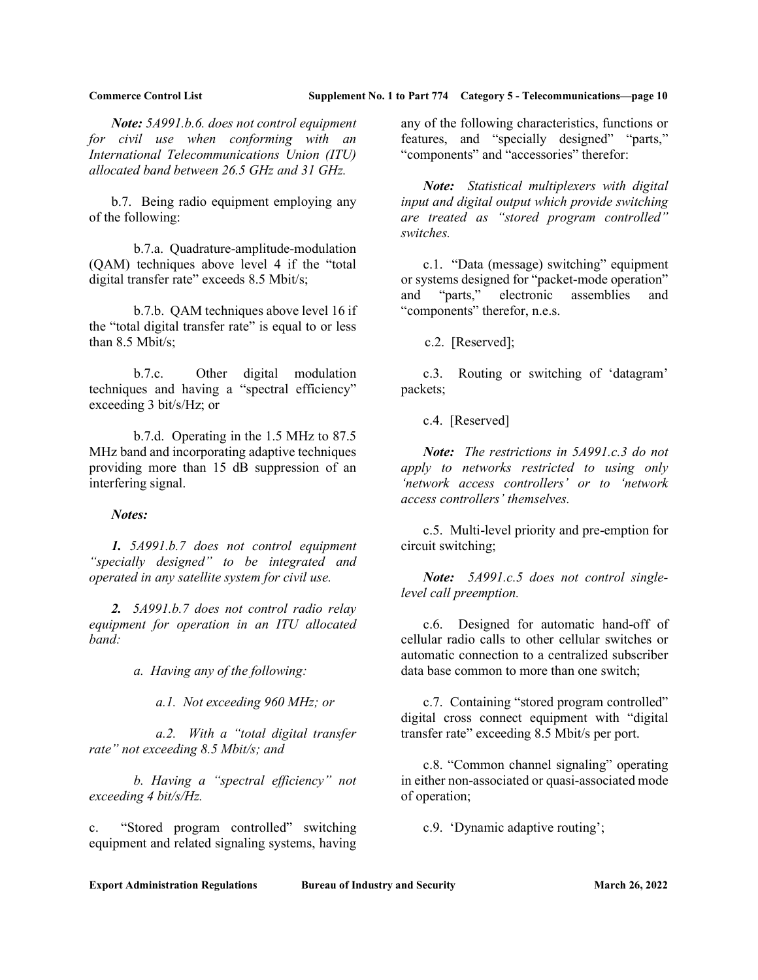Note: 5A991.b.6. does not control equipment for civil use when conforming with an International Telecommunications Union (ITU) allocated band between 26.5 GHz and 31 GHz.

 b.7. Being radio equipment employing any of the following:

 b.7.a. Quadrature-amplitude-modulation (QAM) techniques above level 4 if the "total digital transfer rate" exceeds 8.5 Mbit/s;

 b.7.b. QAM techniques above level 16 if the "total digital transfer rate" is equal to or less than 8.5 Mbit/s;

 b.7.c. Other digital modulation techniques and having a "spectral efficiency" exceeding 3 bit/s/Hz; or

 b.7.d. Operating in the 1.5 MHz to 87.5 MHz band and incorporating adaptive techniques providing more than 15 dB suppression of an interfering signal.

Notes:

 1. 5A991.b.7 does not control equipment "specially designed" to be integrated and operated in any satellite system for civil use.

2. 5A991.b.7 does not control radio relay equipment for operation in an ITU allocated band:

a. Having any of the following:

a.1. Not exceeding 960 MHz; or

 a.2. With a "total digital transfer rate" not exceeding 8.5 Mbit/s; and

 b. Having a "spectral efficiency" not exceeding 4 bit/s/Hz.

c. "Stored program controlled" switching equipment and related signaling systems, having any of the following characteristics, functions or features, and "specially designed" "parts," "components" and "accessories" therefor:

Note: Statistical multiplexers with digital input and digital output which provide switching are treated as "stored program controlled" switches.

 c.1. "Data (message) switching" equipment or systems designed for "packet-mode operation" and "parts," electronic assemblies and "components" therefor, n.e.s.

c.2. [Reserved];

 c.3. Routing or switching of 'datagram' packets;

c.4. [Reserved]

Note: The restrictions in 5A991.c.3 do not apply to networks restricted to using only 'network access controllers' or to 'network access controllers' themselves.

 c.5. Multi-level priority and pre-emption for circuit switching;

Note: 5A991.c.5 does not control singlelevel call preemption.

 c.6. Designed for automatic hand-off of cellular radio calls to other cellular switches or automatic connection to a centralized subscriber data base common to more than one switch;

 c.7. Containing "stored program controlled" digital cross connect equipment with "digital transfer rate" exceeding 8.5 Mbit/s per port.

 c.8. "Common channel signaling" operating in either non-associated or quasi-associated mode of operation;

c.9. 'Dynamic adaptive routing';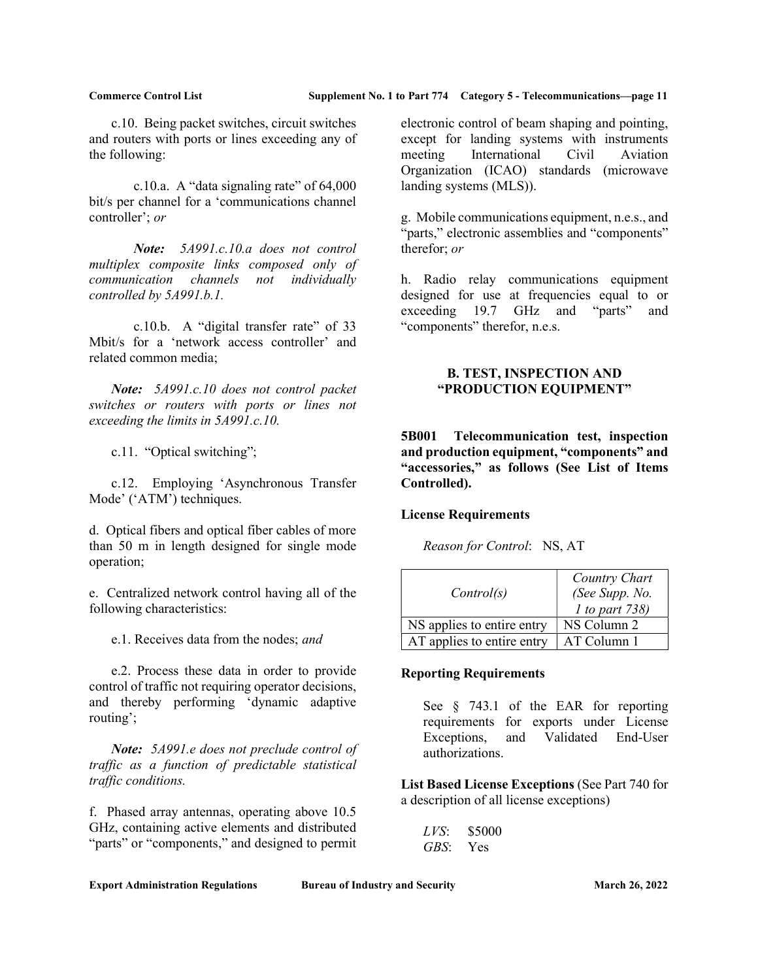c.10. Being packet switches, circuit switches and routers with ports or lines exceeding any of the following:

c.10.a. A "data signaling rate" of  $64,000$ bit/s per channel for a 'communications channel controller'; or

Note: 5A991.c.10.a does not control multiplex composite links composed only of communication channels not individually controlled by 5A991.b.1.

 c.10.b. A "digital transfer rate" of 33 Mbit/s for a 'network access controller' and related common media;

Note: 5A991.c.10 does not control packet switches or routers with ports or lines not exceeding the limits in 5A991.c.10.

c.11. "Optical switching";

 c.12. Employing 'Asynchronous Transfer Mode' ('ATM') techniques.

d. Optical fibers and optical fiber cables of more than 50 m in length designed for single mode operation;

e. Centralized network control having all of the following characteristics:

e.1. Receives data from the nodes; and

 e.2. Process these data in order to provide control of traffic not requiring operator decisions, and thereby performing 'dynamic adaptive routing';

Note: 5A991.e does not preclude control of traffic as a function of predictable statistical traffic conditions.

f. Phased array antennas, operating above 10.5 GHz, containing active elements and distributed "parts" or "components," and designed to permit electronic control of beam shaping and pointing, except for landing systems with instruments meeting International Civil Aviation Organization (ICAO) standards (microwave landing systems (MLS)).

g. Mobile communications equipment, n.e.s., and "parts," electronic assemblies and "components" therefor; or

h. Radio relay communications equipment designed for use at frequencies equal to or exceeding 19.7 GHz and "parts" and "components" therefor, n.e.s.

### B. TEST, INSPECTION AND "PRODUCTION EQUIPMENT"

5B001 Telecommunication test, inspection and production equipment, "components" and "accessories," as follows (See List of Items Controlled).

## License Requirements

Reason for Control: NS, AT

| Control(s)                 | Country Chart<br>(See Supp. No.<br>$1$ to part 738) |
|----------------------------|-----------------------------------------------------|
| NS applies to entire entry | NS Column 2                                         |
| AT applies to entire entry | AT Column 1                                         |

### Reporting Requirements

See § 743.1 of the EAR for reporting requirements for exports under License Exceptions, and Validated End-User authorizations.

List Based License Exceptions (See Part 740 for a description of all license exceptions)

| LVS: | \$5000 |
|------|--------|
| GBS: | Yes    |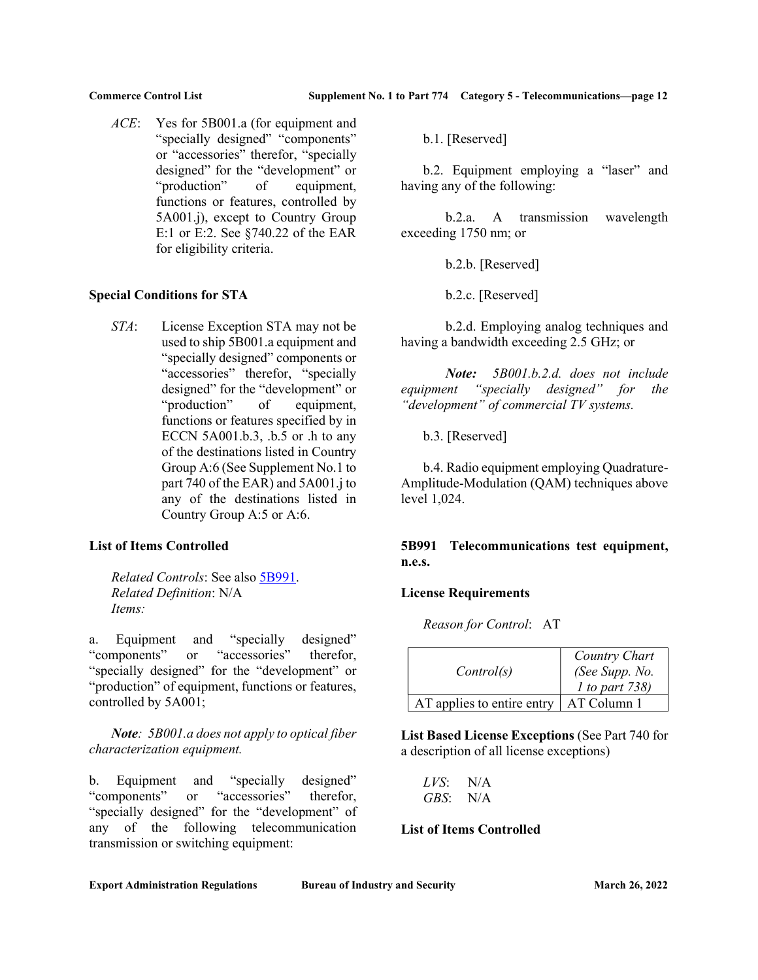ACE: Yes for 5B001.a (for equipment and "specially designed" "components" or "accessories" therefor, "specially designed" for the "development" or "production" of equipment, functions or features, controlled by 5A001.j), except to Country Group E:1 or E:2. See §740.22 of the EAR for eligibility criteria.

## Special Conditions for STA

STA: License Exception STA may not be used to ship 5B001.a equipment and "specially designed" components or "accessories" therefor, "specially designed" for the "development" or "production" of equipment, functions or features specified by in ECCN 5A001.b.3, .b.5 or .h to any of the destinations listed in Country Group A:6 (See Supplement No.1 to part 740 of the EAR) and 5A001.j to any of the destinations listed in Country Group A:5 or A:6.

## List of Items Controlled

Related Controls: See also 5B991. Related Definition: N/A Items:

a. Equipment and "specially designed" "components" or "accessories" therefor, "specially designed" for the "development" or "production" of equipment, functions or features, controlled by 5A001;

Note: 5B001.a does not apply to optical fiber characterization equipment.

b. Equipment and "specially designed" "components" or "accessories" therefor, "specially designed" for the "development" of any of the following telecommunication transmission or switching equipment:

b.1. [Reserved]

 b.2. Equipment employing a "laser" and having any of the following:

 b.2.a. A transmission wavelength exceeding 1750 nm; or

b.2.b. [Reserved]

b.2.c. [Reserved]

 b.2.d. Employing analog techniques and having a bandwidth exceeding 2.5 GHz; or

 Note: 5B001.b.2.d. does not include equipment "specially designed" for the "development" of commercial TV systems.

b.3. [Reserved]

 b.4. Radio equipment employing Quadrature-Amplitude-Modulation (QAM) techniques above level 1,024.

5B991 Telecommunications test equipment, n.e.s.

## License Requirements

Reason for Control: AT

| Control(s)                 | Country Chart<br>(See Supp. No.<br><i>l</i> to part 738) |
|----------------------------|----------------------------------------------------------|
| AT applies to entire entry | AT Column 1                                              |

List Based License Exceptions (See Part 740 for a description of all license exceptions)

LVS: N/A GBS: N/A

## List of Items Controlled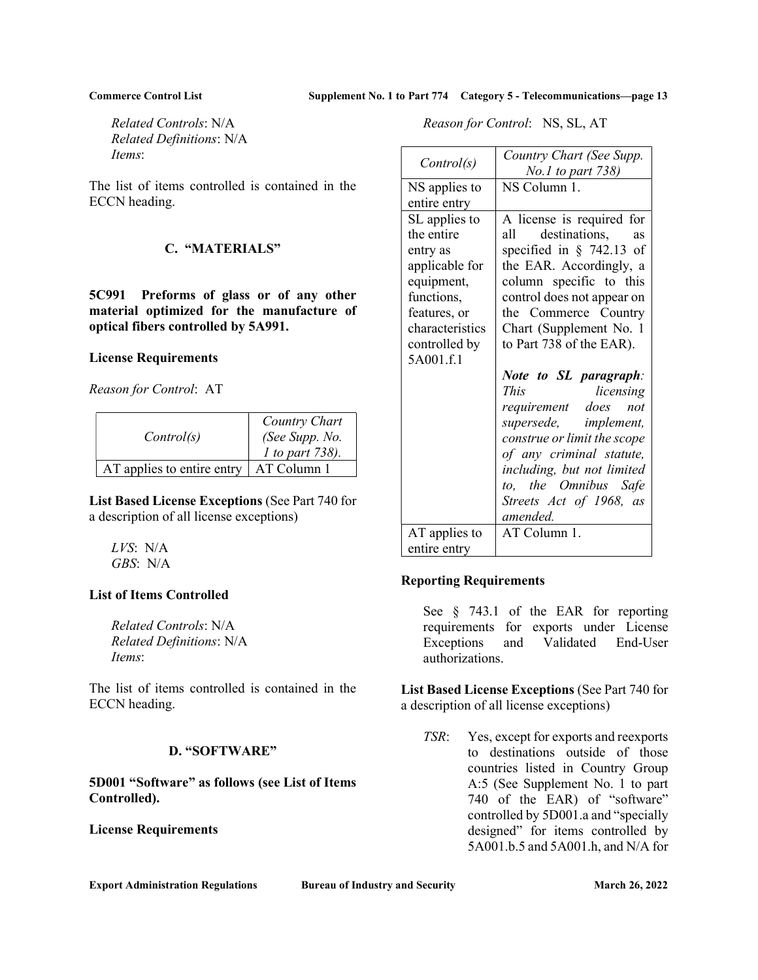Related Controls: N/A Related Definitions: N/A Items:

The list of items controlled is contained in the ECCN heading.

## C. "MATERIALS"

5C991 Preforms of glass or of any other material optimized for the manufacture of optical fibers controlled by 5A991.

## License Requirements

Reason for Control: AT

| Control(s)                 | Country Chart<br>(See Supp. No.<br>1 to part 738). |
|----------------------------|----------------------------------------------------|
| AT applies to entire entry | AT Column 1                                        |

List Based License Exceptions (See Part 740 for a description of all license exceptions)

LVS: N/A GBS: N/A

## List of Items Controlled

Related Controls: N/A Related Definitions: N/A Items:

The list of items controlled is contained in the ECCN heading.

## D. "SOFTWARE"

5D001 "Software" as follows (see List of Items Controlled).

License Requirements

Reason for Control: NS, SL, AT

| Control(s)                                                                                                               | Country Chart (See Supp.<br>No.1 to part 738)                                                                                                                                                                                |
|--------------------------------------------------------------------------------------------------------------------------|------------------------------------------------------------------------------------------------------------------------------------------------------------------------------------------------------------------------------|
| NS applies to                                                                                                            | NS Column 1.                                                                                                                                                                                                                 |
| entire entry                                                                                                             |                                                                                                                                                                                                                              |
| SL applies to<br>the entire<br>entry as<br>applicable for<br>equipment,<br>functions,<br>features, or<br>characteristics | A license is required for<br>destinations, as<br>all –<br>specified in $\S$ 742.13 of<br>the EAR. Accordingly, a<br>column specific to this<br>control does not appear on<br>the Commerce Country<br>Chart (Supplement No. 1 |
| controlled by                                                                                                            | to Part 738 of the EAR).                                                                                                                                                                                                     |
| 5A001.f.1                                                                                                                |                                                                                                                                                                                                                              |
|                                                                                                                          | Note to SL paragraph:<br><b>This</b><br>licensing                                                                                                                                                                            |
|                                                                                                                          | requirement does not                                                                                                                                                                                                         |
|                                                                                                                          | supersede,<br><i>implement,</i>                                                                                                                                                                                              |
|                                                                                                                          | construe or limit the scope                                                                                                                                                                                                  |
|                                                                                                                          | of any criminal statute,<br>including, but not limited                                                                                                                                                                       |
|                                                                                                                          | the Omnibus Safe<br>to.                                                                                                                                                                                                      |
|                                                                                                                          | Streets Act of 1968, as                                                                                                                                                                                                      |
|                                                                                                                          | amended.                                                                                                                                                                                                                     |
| AT applies to                                                                                                            | AT Column 1.                                                                                                                                                                                                                 |
| entire entry                                                                                                             |                                                                                                                                                                                                                              |

### Reporting Requirements

See § 743.1 of the EAR for reporting requirements for exports under License Exceptions and Validated End-User authorizations.

List Based License Exceptions (See Part 740 for a description of all license exceptions)

TSR: Yes, except for exports and reexports to destinations outside of those countries listed in Country Group A:5 (See Supplement No. 1 to part 740 of the EAR) of "software" controlled by 5D001.a and "specially designed" for items controlled by 5A001.b.5 and 5A001.h, and N/A for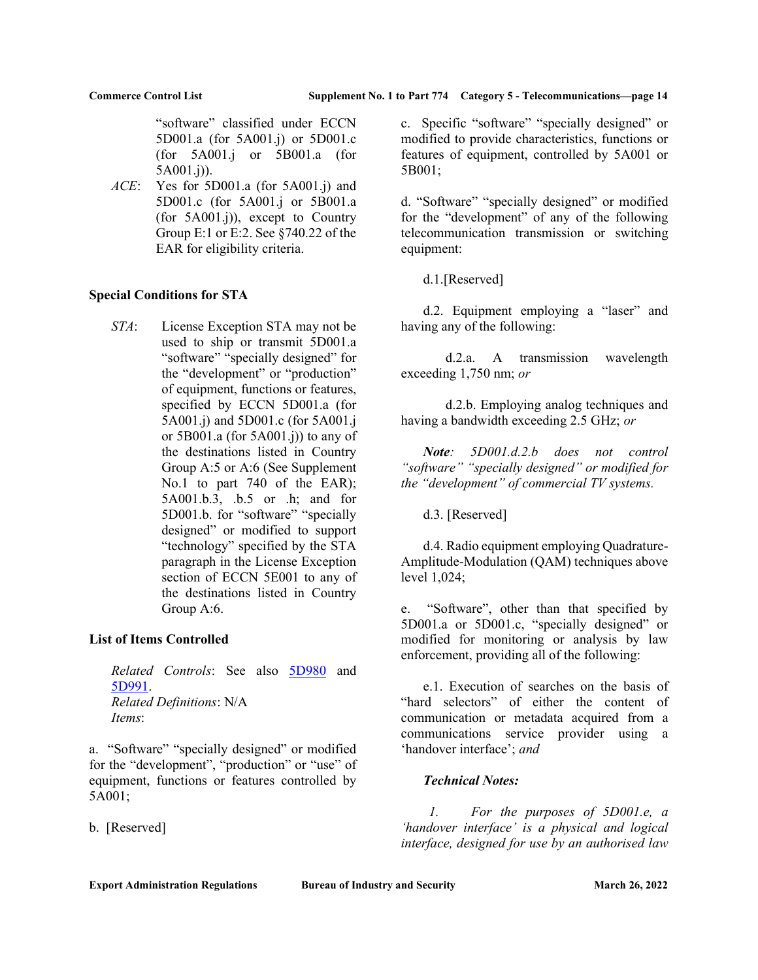"software" classified under ECCN 5D001.a (for 5A001.j) or 5D001.c (for 5A001.j or 5B001.a (for 5A001.j)).

ACE: Yes for 5D001.a (for 5A001.j) and 5D001.c (for 5A001.j or 5B001.a (for 5A001.j)), except to Country Group E:1 or E:2. See §740.22 of the EAR for eligibility criteria.

## Special Conditions for STA

STA: License Exception STA may not be used to ship or transmit 5D001.a "software" "specially designed" for the "development" or "production" of equipment, functions or features, specified by ECCN 5D001.a (for 5A001.j) and 5D001.c (for 5A001.j or  $5B001.a$  (for  $5A001.j$ ) to any of the destinations listed in Country Group A:5 or A:6 (See Supplement No.1 to part 740 of the EAR); 5A001.b.3, .b.5 or .h; and for 5D001.b. for "software" "specially designed" or modified to support "technology" specified by the STA paragraph in the License Exception section of ECCN 5E001 to any of the destinations listed in Country Group A:6.

## List of Items Controlled

Related Controls: See also 5D980 and 5D991. Related Definitions: N/A Items:

a. "Software" "specially designed" or modified for the "development", "production" or "use" of equipment, functions or features controlled by 5A001;

b. [Reserved]

c. Specific "software" "specially designed" or modified to provide characteristics, functions or features of equipment, controlled by 5A001 or 5B001;

d. "Software" "specially designed" or modified for the "development" of any of the following telecommunication transmission or switching equipment:

d.1.[Reserved]

 d.2. Equipment employing a "laser" and having any of the following:

 d.2.a. A transmission wavelength exceeding 1,750 nm; or

 d.2.b. Employing analog techniques and having a bandwidth exceeding 2.5 GHz; or

Note: 5D001.d.2.b does not control "software" "specially designed" or modified for the "development" of commercial TV systems.

d.3. [Reserved]

 d.4. Radio equipment employing Quadrature-Amplitude-Modulation (QAM) techniques above level 1,024;

e. "Software", other than that specified by 5D001.a or 5D001.c, "specially designed" or modified for monitoring or analysis by law enforcement, providing all of the following:

 e.1. Execution of searches on the basis of "hard selectors" of either the content of communication or metadata acquired from a communications service provider using a 'handover interface'; and

## Technical Notes:

1. For the purposes of 5D001.e, a 'handover interface' is a physical and logical interface, designed for use by an authorised law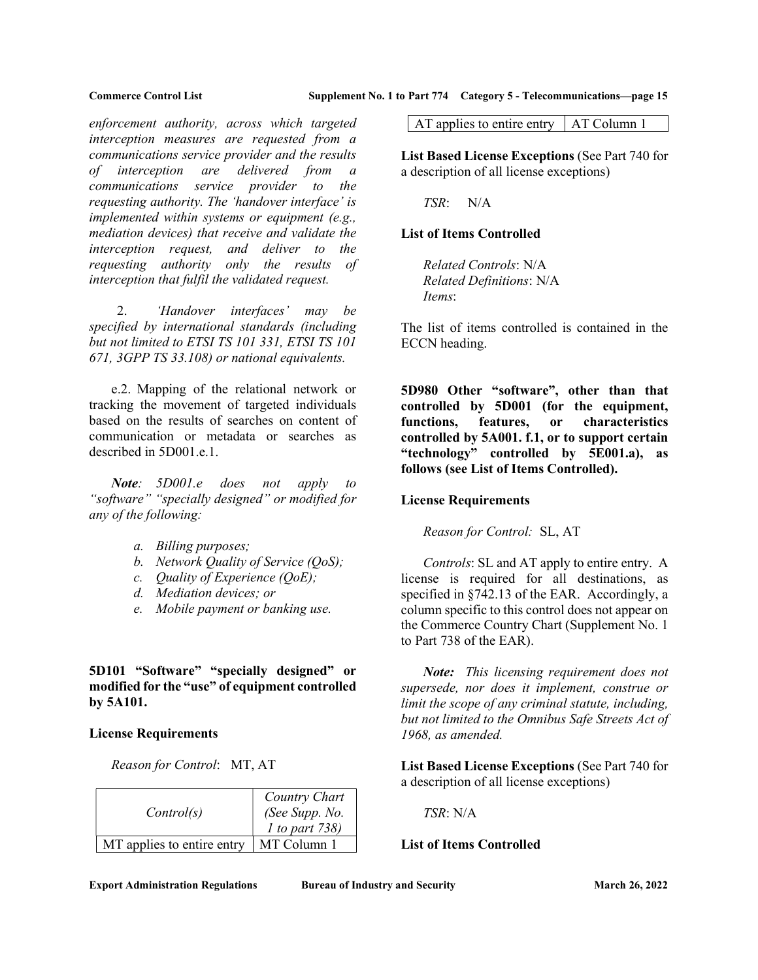enforcement authority, across which targeted interception measures are requested from a communications service provider and the results of interception are delivered from a communications service provider to the requesting authority. The 'handover interface' is implemented within systems or equipment (e.g., mediation devices) that receive and validate the interception request, and deliver to the requesting authority only the results of interception that fulfil the validated request.

2. 'Handover interfaces' may be specified by international standards (including but not limited to ETSI TS 101 331, ETSI TS 101 671, 3GPP TS 33.108) or national equivalents.

 e.2. Mapping of the relational network or tracking the movement of targeted individuals based on the results of searches on content of communication or metadata or searches as described in 5D001.e.1.

Note: 5D001.e does not apply to "software" "specially designed" or modified for any of the following:

- a. Billing purposes;
- b. Network Quality of Service (QoS);
- c. Quality of Experience (QoE);
- d. Mediation devices; or
- e. Mobile payment or banking use.

5D101 "Software" "specially designed" or modified for the "use" of equipment controlled by 5A101.

#### License Requirements

Reason for Control: MT, AT

| Control(s)                 | Country Chart<br>(See Supp. No.<br>$1$ to part 738) |
|----------------------------|-----------------------------------------------------|
| MT applies to entire entry | MT Column 1                                         |

AT applies to entire entry  $\vert$  AT Column 1

List Based License Exceptions (See Part 740 for a description of all license exceptions)

TSR: N/A

### List of Items Controlled

Related Controls: N/A Related Definitions: N/A Items:

The list of items controlled is contained in the ECCN heading.

5D980 Other "software", other than that controlled by 5D001 (for the equipment, functions, features, or characteristics controlled by 5A001. f.1, or to support certain "technology" controlled by 5E001.a), as follows (see List of Items Controlled).

### License Requirements

Reason for Control: SL, AT

Controls: SL and AT apply to entire entry. A license is required for all destinations, as specified in §742.13 of the EAR. Accordingly, a column specific to this control does not appear on the Commerce Country Chart (Supplement No. 1 to Part 738 of the EAR).

Note: This licensing requirement does not supersede, nor does it implement, construe or limit the scope of any criminal statute, including, but not limited to the Omnibus Safe Streets Act of 1968, as amended.

List Based License Exceptions (See Part 740 for a description of all license exceptions)

TSR: N/A

## List of Items Controlled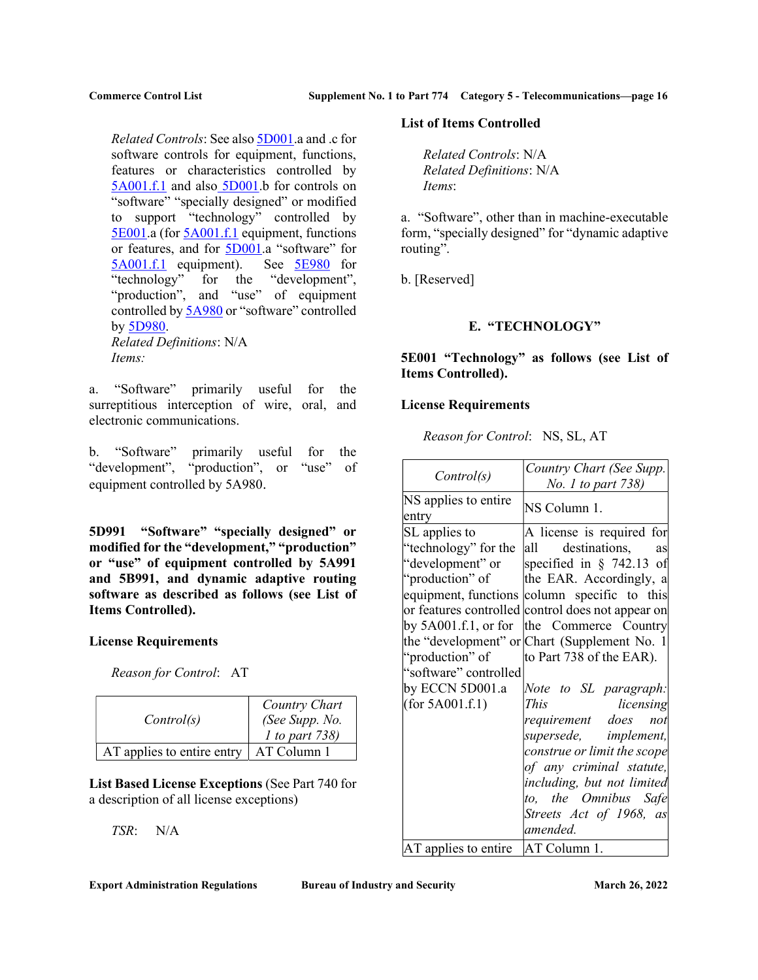Related Controls: See also 5D001.a and .c for software controls for equipment, functions, features or characteristics controlled by 5A001.f.1 and also 5D001.b for controls on "software" "specially designed" or modified to support "technology" controlled by 5E001.a (for 5A001.f.1 equipment, functions or features, and for 5D001.a "software" for 5A001.f.1 equipment). See 5E980 for "technology" for the "development", "production", and "use" of equipment controlled by 5A980 or "software" controlled by 5D980. Related Definitions: N/A Items:

a. "Software" primarily useful for the surreptitious interception of wire, oral, and electronic communications.

b. "Software" primarily useful for the "development", "production", or "use" of equipment controlled by 5A980.

5D991 "Software" "specially designed" or modified for the "development," "production" or "use" of equipment controlled by 5A991 and 5B991, and dynamic adaptive routing software as described as follows (see List of Items Controlled).

### License Requirements

Reason for Control: AT

| Control(s)                 | Country Chart<br>(See Supp. No.<br>1 to part 738) |
|----------------------------|---------------------------------------------------|
| AT applies to entire entry | AT Column 1                                       |

List Based License Exceptions (See Part 740 for a description of all license exceptions)

TSR: N/A

List of Items Controlled

Related Controls: N/A Related Definitions: N/A Items:

a. "Software", other than in machine-executable form, "specially designed" for "dynamic adaptive routing".

b. [Reserved]

## E. "TECHNOLOGY"

5E001 "Technology" as follows (see List of Items Controlled).

#### License Requirements

Reason for Control: NS, SL, AT

| Control(s)                                                                                                                                                                                | Country Chart (See Supp.<br><i>No. 1 to part 738)</i>                                                                                                                                                                                                                                                                                                                                                                                                                                                                                                                                    |
|-------------------------------------------------------------------------------------------------------------------------------------------------------------------------------------------|------------------------------------------------------------------------------------------------------------------------------------------------------------------------------------------------------------------------------------------------------------------------------------------------------------------------------------------------------------------------------------------------------------------------------------------------------------------------------------------------------------------------------------------------------------------------------------------|
| NS applies to entire<br>entry                                                                                                                                                             | NS Column 1.                                                                                                                                                                                                                                                                                                                                                                                                                                                                                                                                                                             |
| SL applies to<br>"technology" for the<br>"development" or<br>"production" of<br>by $5A001.f.1$ , or for<br>"production" of<br>"software" controlled<br>by ECCN 5D001.a<br>(for 5A001.f.1) | A license is required for<br>destinations, as<br>all a<br>specified in $\S$ 742.13 of<br>the EAR. Accordingly, a<br>equipment, functions column specific to this<br>or features controlled control does not appear on<br>the Commerce Country<br>the "development" or Chart (Supplement No. 1)<br>to Part 738 of the EAR).<br>Note to SL paragraph:<br><i>This</i><br>licensing<br>requirement does not<br>supersede, implement,<br>construe or limit the scope<br>of any criminal statute,<br>including, but not limited<br>to, the Omnibus Safe<br>Streets Act of 1968, as<br>amended. |
| AT applies to entire                                                                                                                                                                      | AT Column 1.                                                                                                                                                                                                                                                                                                                                                                                                                                                                                                                                                                             |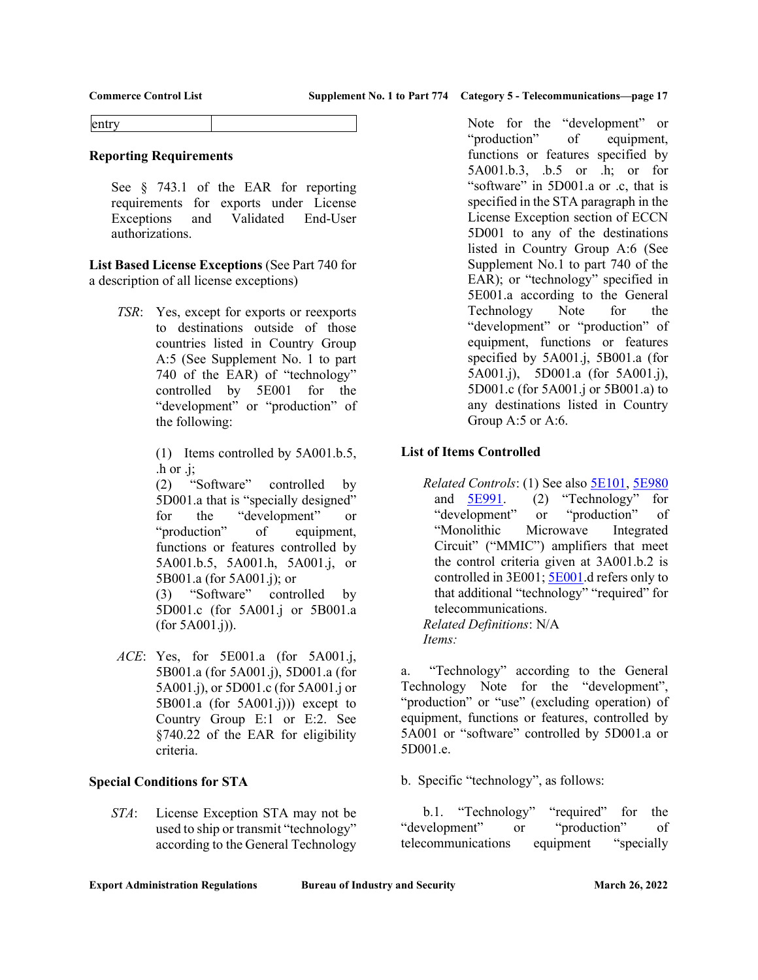entry

### Reporting Requirements

See § 743.1 of the EAR for reporting requirements for exports under License Exceptions and Validated End-User authorizations.

List Based License Exceptions (See Part 740 for a description of all license exceptions)

> TSR: Yes, except for exports or reexports to destinations outside of those countries listed in Country Group A:5 (See Supplement No. 1 to part 740 of the EAR) of "technology" controlled by 5E001 for the "development" or "production" of the following:

> > (1) Items controlled by 5A001.b.5, .h or .j;

> > (2) "Software" controlled by 5D001.a that is "specially designed" for the "development" or "production" of equipment, functions or features controlled by 5A001.b.5, 5A001.h, 5A001.j, or 5B001.a (for 5A001.j); or

 (3) "Software" controlled by 5D001.c (for 5A001.j or 5B001.a (for 5A001.j)).

 $ACE: Yes, for 5E001.a (for 5A001.i,$ 5B001.a (for 5A001.j), 5D001.a (for 5A001.j), or 5D001.c (for 5A001.j or 5B001.a (for  $5A001.$ j))) except to Country Group E:1 or E:2. See §740.22 of the EAR for eligibility criteria.

## Special Conditions for STA

STA: License Exception STA may not be used to ship or transmit "technology" according to the General Technology Note for the "development" or "production" of equipment, functions or features specified by 5A001.b.3, .b.5 or .h; or for "software" in 5D001.a or .c, that is specified in the STA paragraph in the License Exception section of ECCN 5D001 to any of the destinations listed in Country Group A:6 (See Supplement No.1 to part 740 of the EAR); or "technology" specified in 5E001.a according to the General Technology Note for the "development" or "production" of equipment, functions or features specified by 5A001.j, 5B001.a (for 5A001.j), 5D001.a (for 5A001.j), 5D001.c (for 5A001.j or 5B001.a) to any destinations listed in Country Group A:5 or A:6.

## List of Items Controlled

Related Controls: (1) See also 5E101, 5E980 and 5E991. (2) "Technology" for "development" or "production" of "Monolithic Microwave Integrated Circuit" ("MMIC") amplifiers that meet the control criteria given at 3A001.b.2 is controlled in 3E001; 5E001.d refers only to that additional "technology" "required" for telecommunications. Related Definitions: N/A Items:

a. "Technology" according to the General Technology Note for the "development", "production" or "use" (excluding operation) of equipment, functions or features, controlled by 5A001 or "software" controlled by 5D001.a or 5D001.e.

b. Specific "technology", as follows:

b.1. "Technology" "required" for the "development" or "production" of telecommunications equipment "specially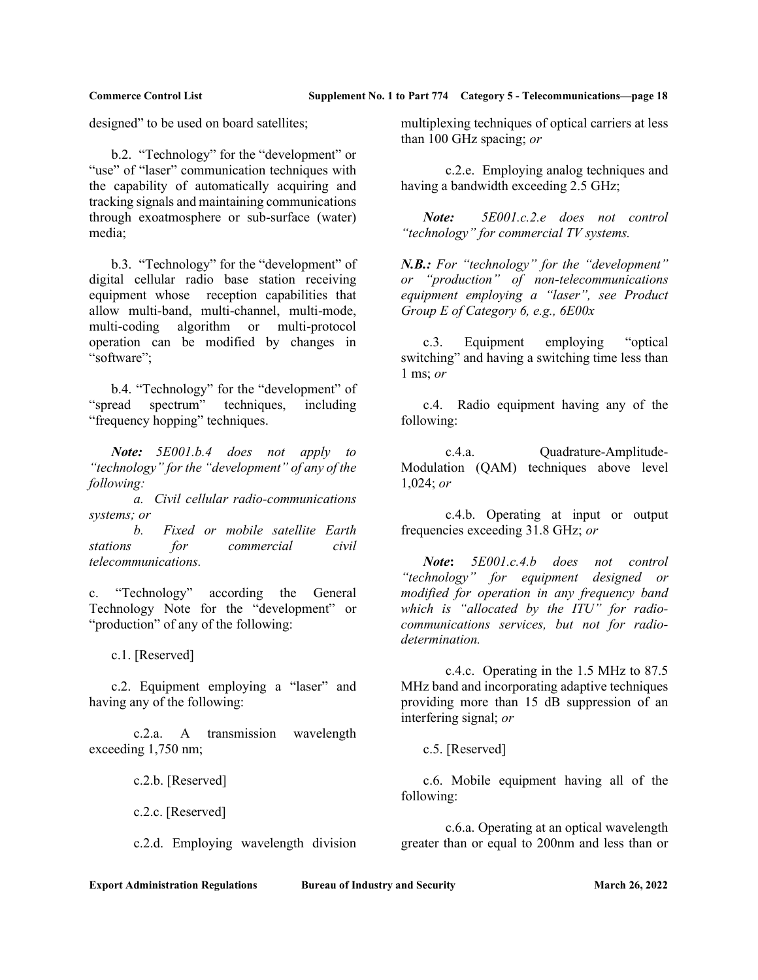designed" to be used on board satellites;

 b.2. "Technology" for the "development" or "use" of "laser" communication techniques with the capability of automatically acquiring and tracking signals and maintaining communications through exoatmosphere or sub-surface (water) media;

 b.3. "Technology" for the "development" of digital cellular radio base station receiving equipment whose reception capabilities that allow multi-band, multi-channel, multi-mode, multi-coding algorithm or multi-protocol operation can be modified by changes in "software";

 b.4. "Technology" for the "development" of "spread spectrum" techniques, including "frequency hopping" techniques.

Note: 5E001.b.4 does not apply to "technology" for the "development" of any of the following:

 a. Civil cellular radio-communications systems; or

 b. Fixed or mobile satellite Earth stations for commercial civil telecommunications.

c. "Technology" according the General Technology Note for the "development" or "production" of any of the following:

c.1. [Reserved]

 c.2. Equipment employing a "laser" and having any of the following:

 c.2.a. A transmission wavelength exceeding 1,750 nm;

c.2.b. [Reserved]

c.2.c. [Reserved]

c.2.d. Employing wavelength division

multiplexing techniques of optical carriers at less than 100 GHz spacing; or

 c.2.e. Employing analog techniques and having a bandwidth exceeding 2.5 GHz;

Note: 5E001.c.2.e does not control "technology" for commercial TV systems.

N.B.: For "technology" for the "development" or "production" of non-telecommunications equipment employing a "laser", see Product Group E of Category 6, e.g.,  $6E00x$ 

 c.3. Equipment employing "optical switching" and having a switching time less than 1 ms; or

 c.4. Radio equipment having any of the following:

 c.4.a. Quadrature-Amplitude-Modulation (QAM) techniques above level 1,024; or

 c.4.b. Operating at input or output frequencies exceeding 31.8 GHz; or

Note: 5E001.c.4.b does not control "technology" for equipment designed or modified for operation in any frequency band which is "allocated by the ITU" for radiocommunications services, but not for radiodetermination.

 c.4.c. Operating in the 1.5 MHz to 87.5 MHz band and incorporating adaptive techniques providing more than 15 dB suppression of an interfering signal; or

c.5. [Reserved]

 c.6. Mobile equipment having all of the following:

 c.6.a. Operating at an optical wavelength greater than or equal to 200nm and less than or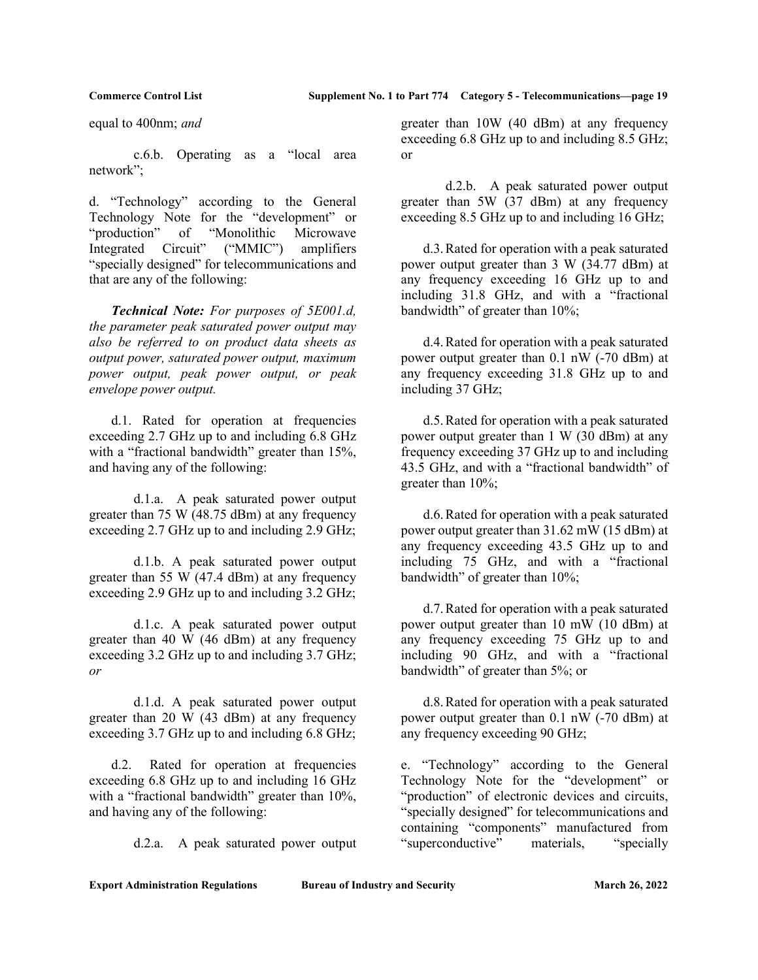equal to 400nm; and

 c.6.b. Operating as a "local area network";

d. "Technology" according to the General Technology Note for the "development" or "production" of "Monolithic Microwave Integrated Circuit" ("MMIC") amplifiers "specially designed" for telecommunications and that are any of the following:

 Technical Note: For purposes of 5E001.d, the parameter peak saturated power output may also be referred to on product data sheets as output power, saturated power output, maximum power output, peak power output, or peak envelope power output.

 d.1. Rated for operation at frequencies exceeding 2.7 GHz up to and including 6.8 GHz with a "fractional bandwidth" greater than 15%, and having any of the following:

 d.1.a. A peak saturated power output greater than 75 W (48.75 dBm) at any frequency exceeding 2.7 GHz up to and including 2.9 GHz;

 d.1.b. A peak saturated power output greater than 55 W (47.4 dBm) at any frequency exceeding 2.9 GHz up to and including 3.2 GHz;

 d.1.c. A peak saturated power output greater than 40 W (46 dBm) at any frequency exceeding 3.2 GHz up to and including 3.7 GHz; or

 d.1.d. A peak saturated power output greater than 20 W (43 dBm) at any frequency exceeding 3.7 GHz up to and including 6.8 GHz;

 d.2. Rated for operation at frequencies exceeding 6.8 GHz up to and including 16 GHz with a "fractional bandwidth" greater than 10%, and having any of the following:

d.2.a. A peak saturated power output

greater than 10W (40 dBm) at any frequency exceeding 6.8 GHz up to and including 8.5 GHz; or

 d.2.b. A peak saturated power output greater than 5W (37 dBm) at any frequency exceeding 8.5 GHz up to and including 16 GHz;

 d.3. Rated for operation with a peak saturated power output greater than 3 W (34.77 dBm) at any frequency exceeding 16 GHz up to and including 31.8 GHz, and with a "fractional bandwidth" of greater than 10%;

 d.4. Rated for operation with a peak saturated power output greater than 0.1 nW (-70 dBm) at any frequency exceeding 31.8 GHz up to and including 37 GHz;

 d.5. Rated for operation with a peak saturated power output greater than 1 W (30 dBm) at any frequency exceeding 37 GHz up to and including 43.5 GHz, and with a "fractional bandwidth" of greater than 10%;

 d.6. Rated for operation with a peak saturated power output greater than 31.62 mW (15 dBm) at any frequency exceeding 43.5 GHz up to and including 75 GHz, and with a "fractional bandwidth" of greater than 10%;

 d.7. Rated for operation with a peak saturated power output greater than 10 mW (10 dBm) at any frequency exceeding 75 GHz up to and including 90 GHz, and with a "fractional bandwidth" of greater than 5%; or

 d.8. Rated for operation with a peak saturated power output greater than  $0.1 \text{ nW}$  (-70 dBm) at any frequency exceeding 90 GHz;

e. "Technology" according to the General Technology Note for the "development" or "production" of electronic devices and circuits, "specially designed" for telecommunications and containing "components" manufactured from "superconductive" materials, "specially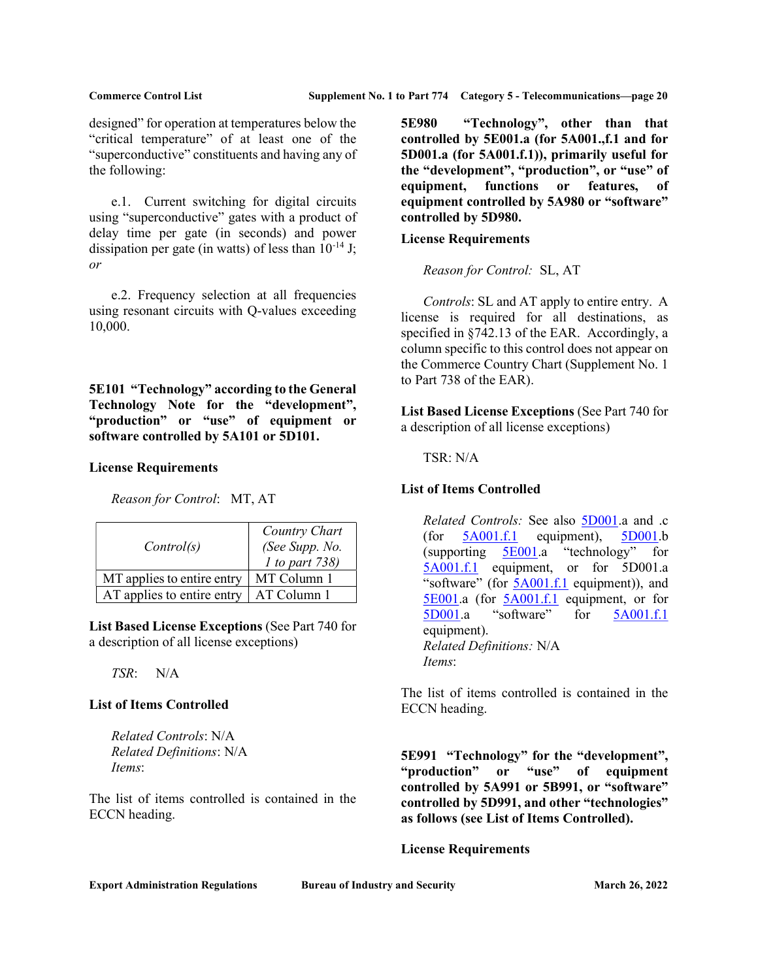designed" for operation at temperatures below the "critical temperature" of at least one of the "superconductive" constituents and having any of the following:

 e.1. Current switching for digital circuits using "superconductive" gates with a product of delay time per gate (in seconds) and power dissipation per gate (in watts) of less than  $10^{-14}$  J; or

 e.2. Frequency selection at all frequencies using resonant circuits with Q-values exceeding 10,000.

5E101 "Technology" according to the General Technology Note for the "development", "production" or "use" of equipment or software controlled by 5A101 or 5D101.

## License Requirements

Reason for Control: MT, AT

| Control(s)                 | Country Chart<br>(See Supp. No.<br>1 to part 738) |
|----------------------------|---------------------------------------------------|
| MT applies to entire entry | MT Column 1                                       |
| AT applies to entire entry | AT Column 1                                       |

List Based License Exceptions (See Part 740 for a description of all license exceptions)

TSR: N/A

## List of Items Controlled

Related Controls: N/A Related Definitions: N/A Items:

The list of items controlled is contained in the ECCN heading.

5E980 "Technology", other than that controlled by 5E001.a (for 5A001.,f.1 and for 5D001.a (for 5A001.f.1)), primarily useful for the "development", "production", or "use" of equipment, functions or features, of equipment controlled by 5A980 or "software" controlled by 5D980.

## License Requirements

Reason for Control: SL, AT

 Controls: SL and AT apply to entire entry. A license is required for all destinations, as specified in §742.13 of the EAR. Accordingly, a column specific to this control does not appear on the Commerce Country Chart (Supplement No. 1 to Part 738 of the EAR).

List Based License Exceptions (See Part 740 for a description of all license exceptions)

TSR: N/A

## List of Items Controlled

Related Controls: See also 5D001.a and .c (for  $5A001.f.1$  equipment),  $5D001.b$ (supporting 5E001.a "technology" for 5A001.f.1 equipment, or for 5D001.a "software" (for **5A001.f.1** equipment)), and 5E001.a (for 5A001.f.1 equipment, or for 5D001.a "software" for 5A001.f.1 equipment). Related Definitions: N/A Items:

The list of items controlled is contained in the ECCN heading.

5E991 "Technology" for the "development", "production" or "use" of equipment controlled by 5A991 or 5B991, or "software" controlled by 5D991, and other "technologies" as follows (see List of Items Controlled).

### License Requirements